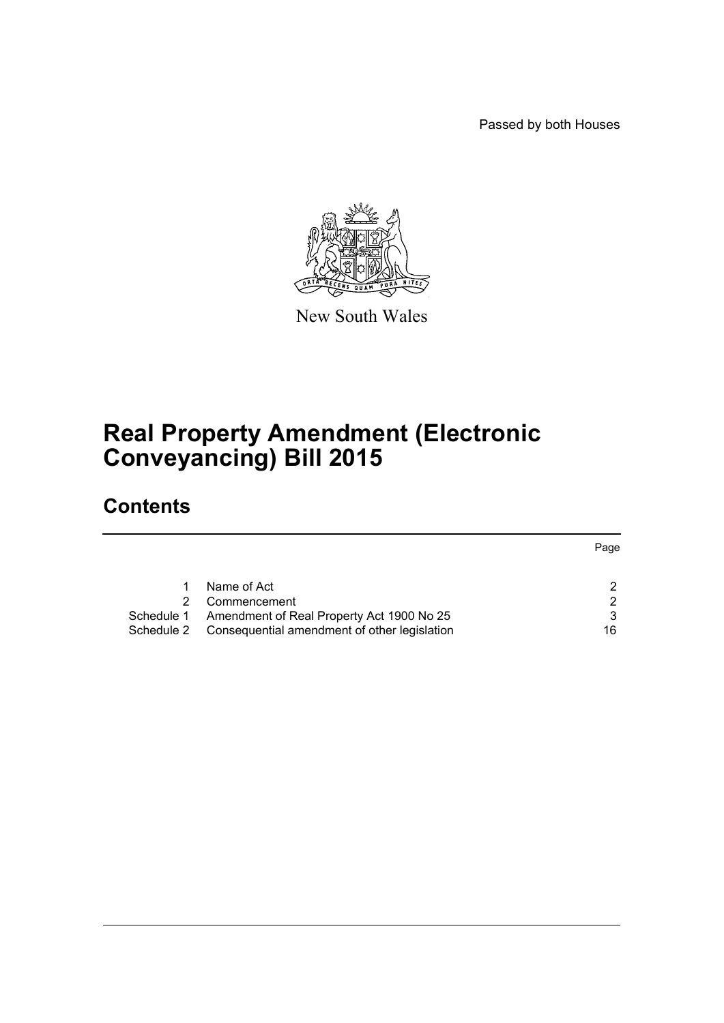Passed by both Houses



New South Wales

# **Real Property Amendment (Electronic Conveyancing) Bill 2015**

# **Contents**

|            |                                              | Page |
|------------|----------------------------------------------|------|
|            |                                              |      |
|            |                                              |      |
|            | Name of Act                                  |      |
|            | Commencement                                 | ົ    |
| Schedule 1 | Amendment of Real Property Act 1900 No 25    | 3    |
| Schedule 2 | Consequential amendment of other legislation | 16   |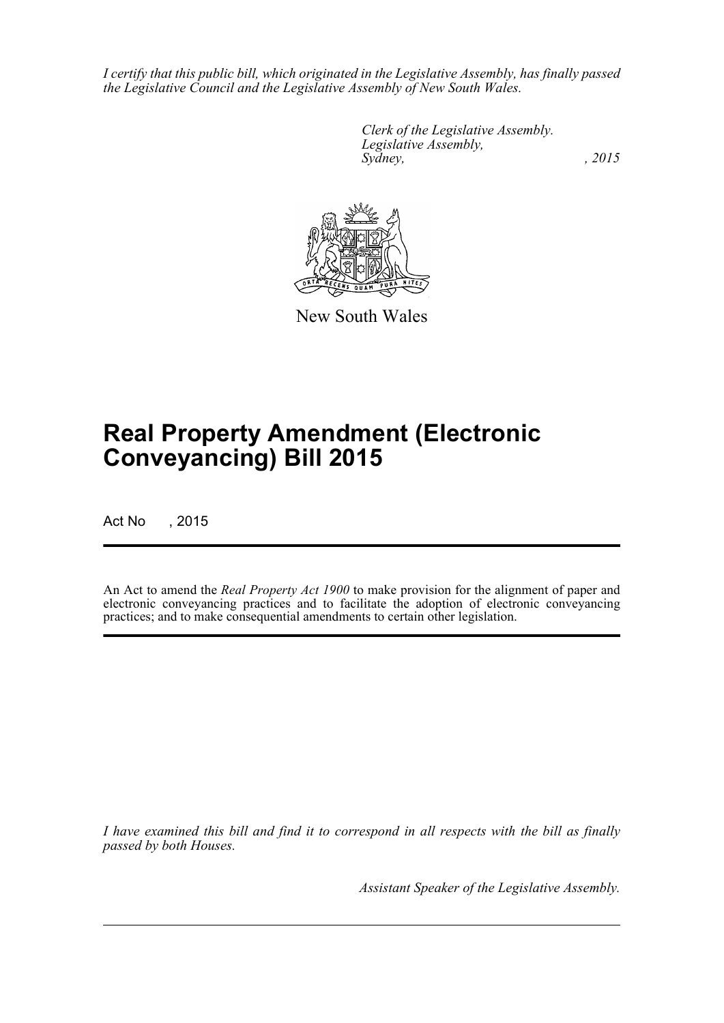*I certify that this public bill, which originated in the Legislative Assembly, has finally passed the Legislative Council and the Legislative Assembly of New South Wales.*

> *Clerk of the Legislative Assembly. Legislative Assembly, Sydney,* , 2015



New South Wales

# **Real Property Amendment (Electronic Conveyancing) Bill 2015**

Act No , 2015

An Act to amend the *Real Property Act 1900* to make provision for the alignment of paper and electronic conveyancing practices and to facilitate the adoption of electronic conveyancing practices; and to make consequential amendments to certain other legislation.

*I have examined this bill and find it to correspond in all respects with the bill as finally passed by both Houses.*

*Assistant Speaker of the Legislative Assembly.*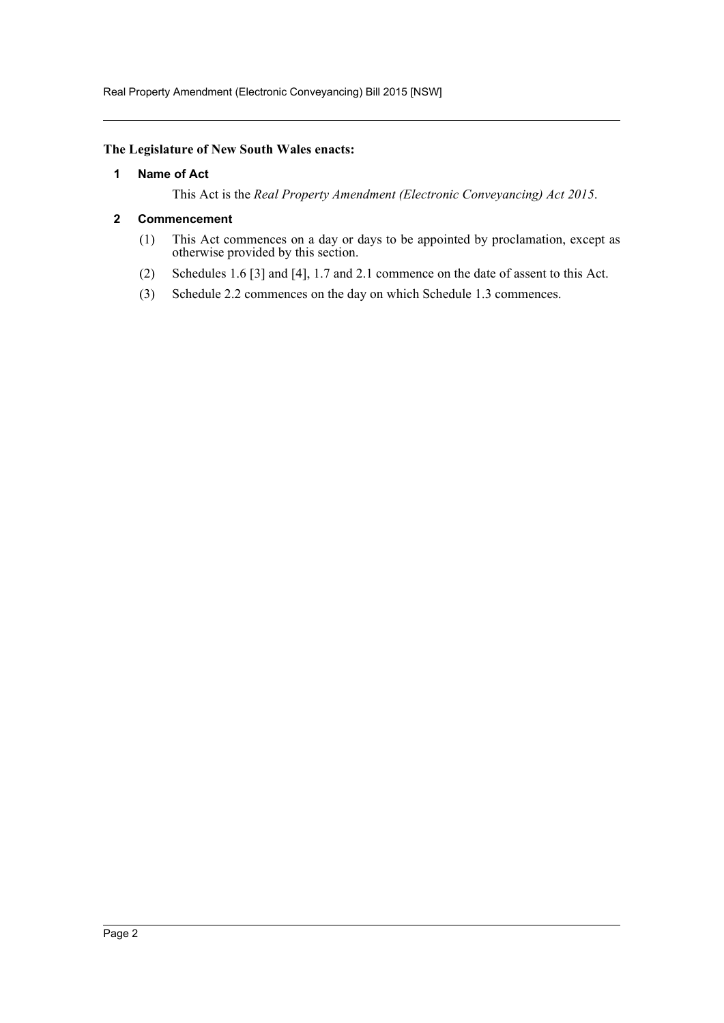#### <span id="page-2-0"></span>**The Legislature of New South Wales enacts:**

#### **1 Name of Act**

This Act is the *Real Property Amendment (Electronic Conveyancing) Act 2015*.

#### <span id="page-2-1"></span>**2 Commencement**

- (1) This Act commences on a day or days to be appointed by proclamation, except as otherwise provided by this section.
- (2) Schedules 1.6 [3] and [4], 1.7 and 2.1 commence on the date of assent to this Act.
- (3) Schedule 2.2 commences on the day on which Schedule 1.3 commences.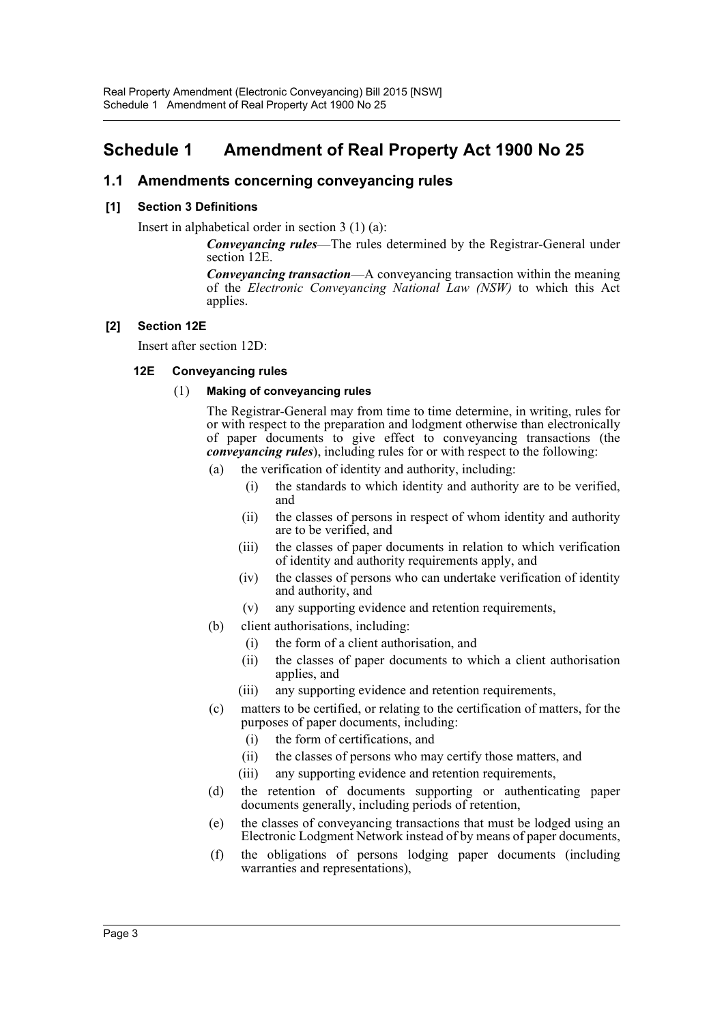## <span id="page-3-0"></span>**Schedule 1 Amendment of Real Property Act 1900 No 25**

## **1.1 Amendments concerning conveyancing rules**

## **[1] Section 3 Definitions**

Insert in alphabetical order in section 3 (1) (a):

*Conveyancing rules*—The rules determined by the Registrar-General under section 12E.

*Conveyancing transaction*—A conveyancing transaction within the meaning of the *Electronic Conveyancing National Law (NSW)* to which this Act applies.

## **[2] Section 12E**

Insert after section 12D:

## **12E Conveyancing rules**

## (1) **Making of conveyancing rules**

The Registrar-General may from time to time determine, in writing, rules for or with respect to the preparation and lodgment otherwise than electronically of paper documents to give effect to conveyancing transactions (the *conveyancing rules*), including rules for or with respect to the following:

- (a) the verification of identity and authority, including:
	- (i) the standards to which identity and authority are to be verified, and
	- (ii) the classes of persons in respect of whom identity and authority are to be verified, and
	- (iii) the classes of paper documents in relation to which verification of identity and authority requirements apply, and
	- (iv) the classes of persons who can undertake verification of identity and authority, and
	- (v) any supporting evidence and retention requirements,
- (b) client authorisations, including:
	- (i) the form of a client authorisation, and
	- (ii) the classes of paper documents to which a client authorisation applies, and
	- (iii) any supporting evidence and retention requirements,
- (c) matters to be certified, or relating to the certification of matters, for the purposes of paper documents, including:
	- (i) the form of certifications, and
	- (ii) the classes of persons who may certify those matters, and
	- (iii) any supporting evidence and retention requirements,
- (d) the retention of documents supporting or authenticating paper documents generally, including periods of retention,
- (e) the classes of conveyancing transactions that must be lodged using an Electronic Lodgment Network instead of by means of paper documents,
- (f) the obligations of persons lodging paper documents (including warranties and representations),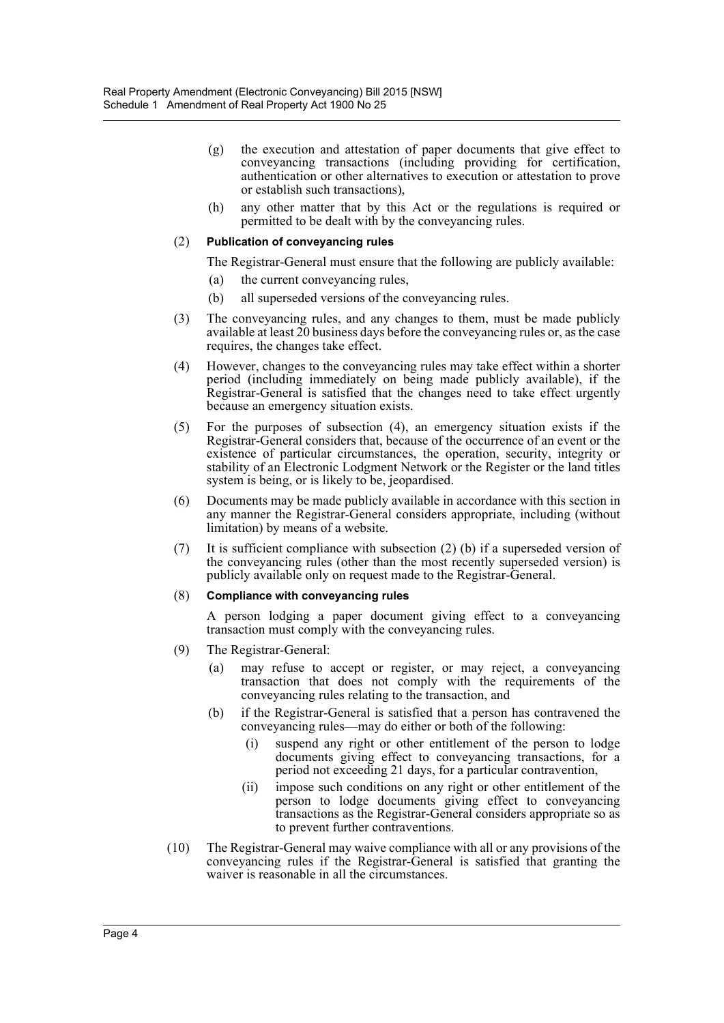- (g) the execution and attestation of paper documents that give effect to conveyancing transactions (including providing for certification, authentication or other alternatives to execution or attestation to prove or establish such transactions),
- (h) any other matter that by this Act or the regulations is required or permitted to be dealt with by the conveyancing rules.

#### (2) **Publication of conveyancing rules**

The Registrar-General must ensure that the following are publicly available:

- (a) the current conveyancing rules,
- (b) all superseded versions of the conveyancing rules.
- (3) The conveyancing rules, and any changes to them, must be made publicly available at least 20 business days before the conveyancing rules or, as the case requires, the changes take effect.
- (4) However, changes to the conveyancing rules may take effect within a shorter period (including immediately on being made publicly available), if the Registrar-General is satisfied that the changes need to take effect urgently because an emergency situation exists.
- (5) For the purposes of subsection (4), an emergency situation exists if the Registrar-General considers that, because of the occurrence of an event or the existence of particular circumstances, the operation, security, integrity or stability of an Electronic Lodgment Network or the Register or the land titles system is being, or is likely to be, jeopardised.
- (6) Documents may be made publicly available in accordance with this section in any manner the Registrar-General considers appropriate, including (without limitation) by means of a website.
- (7) It is sufficient compliance with subsection (2) (b) if a superseded version of the conveyancing rules (other than the most recently superseded version) is publicly available only on request made to the Registrar-General.

#### (8) **Compliance with conveyancing rules**

A person lodging a paper document giving effect to a conveyancing transaction must comply with the conveyancing rules.

- (9) The Registrar-General:
	- (a) may refuse to accept or register, or may reject, a conveyancing transaction that does not comply with the requirements of the conveyancing rules relating to the transaction, and
	- (b) if the Registrar-General is satisfied that a person has contravened the conveyancing rules—may do either or both of the following:
		- (i) suspend any right or other entitlement of the person to lodge documents giving effect to conveyancing transactions, for a period not exceeding 21 days, for a particular contravention,
		- (ii) impose such conditions on any right or other entitlement of the person to lodge documents giving effect to conveyancing transactions as the Registrar-General considers appropriate so as to prevent further contraventions.
- (10) The Registrar-General may waive compliance with all or any provisions of the conveyancing rules if the Registrar-General is satisfied that granting the waiver is reasonable in all the circumstances.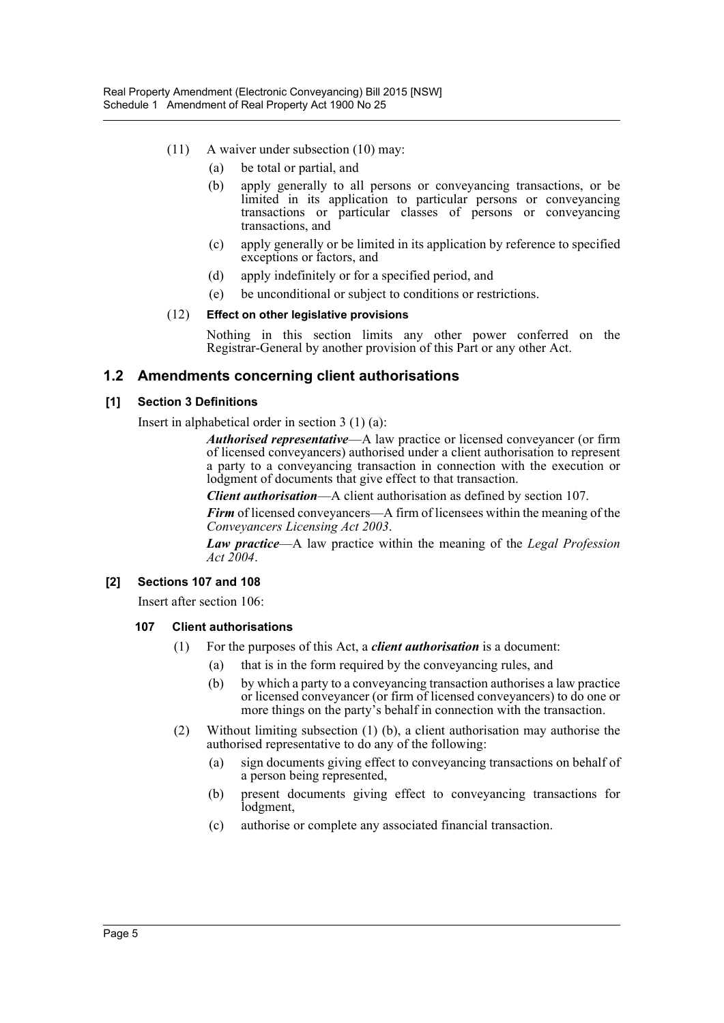- (11) A waiver under subsection (10) may:
	- (a) be total or partial, and
	- (b) apply generally to all persons or conveyancing transactions, or be limited in its application to particular persons or conveyancing transactions or particular classes of persons or conveyancing transactions, and
	- (c) apply generally or be limited in its application by reference to specified exceptions or factors, and
	- (d) apply indefinitely or for a specified period, and
	- (e) be unconditional or subject to conditions or restrictions.

#### (12) **Effect on other legislative provisions**

Nothing in this section limits any other power conferred on the Registrar-General by another provision of this Part or any other Act.

## **1.2 Amendments concerning client authorisations**

#### **[1] Section 3 Definitions**

Insert in alphabetical order in section 3 (1) (a):

*Authorised representative*—A law practice or licensed conveyancer (or firm of licensed conveyancers) authorised under a client authorisation to represent a party to a conveyancing transaction in connection with the execution or lodgment of documents that give effect to that transaction.

*Client authorisation*—A client authorisation as defined by section 107.

*Firm* of licensed conveyancers—A firm of licensees within the meaning of the *Conveyancers Licensing Act 2003*.

*Law practice*—A law practice within the meaning of the *Legal Profession Act 2004*.

#### **[2] Sections 107 and 108**

Insert after section 106:

#### **107 Client authorisations**

- (1) For the purposes of this Act, a *client authorisation* is a document:
	- (a) that is in the form required by the conveyancing rules, and
	- (b) by which a party to a conveyancing transaction authorises a law practice or licensed conveyancer (or firm of licensed conveyancers) to do one or more things on the party's behalf in connection with the transaction.
- (2) Without limiting subsection (1) (b), a client authorisation may authorise the authorised representative to do any of the following:
	- (a) sign documents giving effect to conveyancing transactions on behalf of a person being represented,
	- (b) present documents giving effect to conveyancing transactions for lodgment,
	- (c) authorise or complete any associated financial transaction.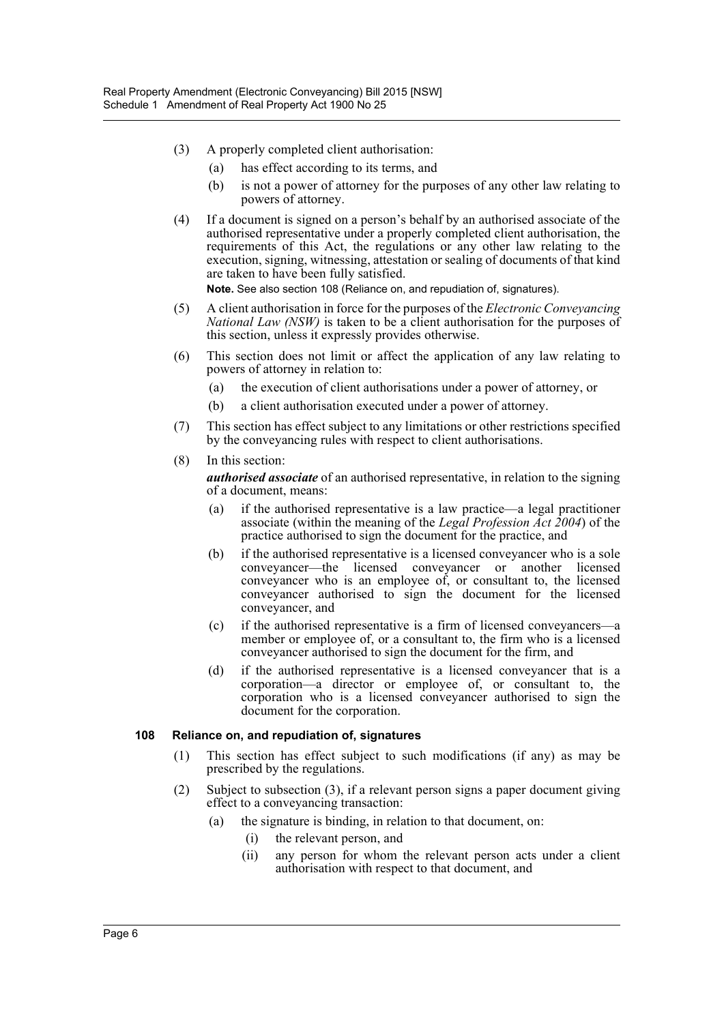- (3) A properly completed client authorisation:
	- (a) has effect according to its terms, and
	- (b) is not a power of attorney for the purposes of any other law relating to powers of attorney.
- (4) If a document is signed on a person's behalf by an authorised associate of the authorised representative under a properly completed client authorisation, the requirements of this Act, the regulations or any other law relating to the execution, signing, witnessing, attestation or sealing of documents of that kind are taken to have been fully satisfied.

**Note.** See also section 108 (Reliance on, and repudiation of, signatures).

- (5) A client authorisation in force for the purposes of the *Electronic Conveyancing National Law (NSW)* is taken to be a client authorisation for the purposes of this section, unless it expressly provides otherwise.
- (6) This section does not limit or affect the application of any law relating to powers of attorney in relation to:
	- (a) the execution of client authorisations under a power of attorney, or
	- (b) a client authorisation executed under a power of attorney.
- (7) This section has effect subject to any limitations or other restrictions specified by the conveyancing rules with respect to client authorisations.
- (8) In this section:

*authorised associate* of an authorised representative, in relation to the signing of a document, means:

- (a) if the authorised representative is a law practice—a legal practitioner associate (within the meaning of the *Legal Profession Act 2004*) of the practice authorised to sign the document for the practice, and
- (b) if the authorised representative is a licensed conveyancer who is a sole conveyancer—the licensed conveyancer or another licensed conveyancer who is an employee of, or consultant to, the licensed conveyancer authorised to sign the document for the licensed conveyancer, and
- (c) if the authorised representative is a firm of licensed conveyancers—a member or employee of, or a consultant to, the firm who is a licensed conveyancer authorised to sign the document for the firm, and
- (d) if the authorised representative is a licensed conveyancer that is a corporation—a director or employee of, or consultant to, the corporation who is a licensed conveyancer authorised to sign the document for the corporation.

#### **108 Reliance on, and repudiation of, signatures**

- (1) This section has effect subject to such modifications (if any) as may be prescribed by the regulations.
- (2) Subject to subsection (3), if a relevant person signs a paper document giving effect to a conveyancing transaction:
	- (a) the signature is binding, in relation to that document, on:
		- (i) the relevant person, and
		- (ii) any person for whom the relevant person acts under a client authorisation with respect to that document, and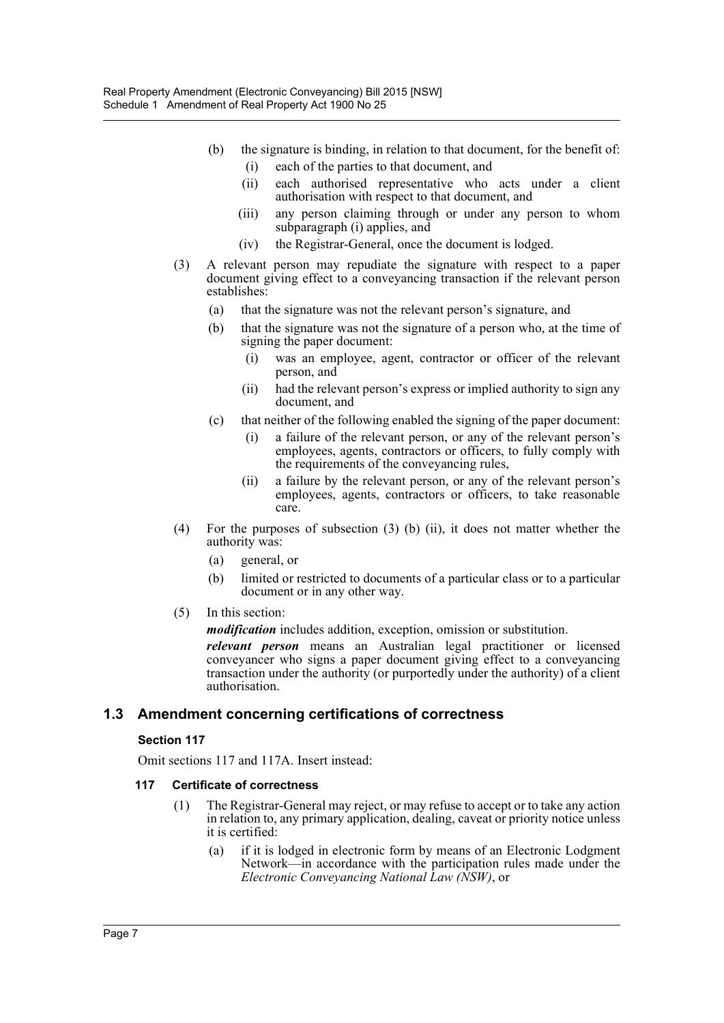- (b) the signature is binding, in relation to that document, for the benefit of: (i) each of the parties to that document, and
	- (ii) each authorised representative who acts under a client authorisation with respect to that document, and
	- (iii) any person claiming through or under any person to whom subparagraph (i) applies, and
	- (iv) the Registrar-General, once the document is lodged.
- (3) A relevant person may repudiate the signature with respect to a paper document giving effect to a conveyancing transaction if the relevant person establishes:
	- (a) that the signature was not the relevant person's signature, and
	- (b) that the signature was not the signature of a person who, at the time of signing the paper document:
		- (i) was an employee, agent, contractor or officer of the relevant person, and
		- (ii) had the relevant person's express or implied authority to sign any document, and
	- (c) that neither of the following enabled the signing of the paper document:
		- (i) a failure of the relevant person, or any of the relevant person's employees, agents, contractors or officers, to fully comply with the requirements of the conveyancing rules,
		- (ii) a failure by the relevant person, or any of the relevant person's employees, agents, contractors or officers, to take reasonable care.
- (4) For the purposes of subsection (3) (b) (ii), it does not matter whether the authority was:
	- (a) general, or
	- (b) limited or restricted to documents of a particular class or to a particular document or in any other way.
- (5) In this section:

*modification* includes addition, exception, omission or substitution.

*relevant person* means an Australian legal practitioner or licensed conveyancer who signs a paper document giving effect to a conveyancing transaction under the authority (or purportedly under the authority) of a client authorisation.

## **1.3 Amendment concerning certifications of correctness**

## **Section 117**

Omit sections 117 and 117A. Insert instead:

## **117 Certificate of correctness**

- (1) The Registrar-General may reject, or may refuse to accept or to take any action in relation to, any primary application, dealing, caveat or priority notice unless it is certified:
	- (a) if it is lodged in electronic form by means of an Electronic Lodgment Network—in accordance with the participation rules made under the *Electronic Conveyancing National Law (NSW)*, or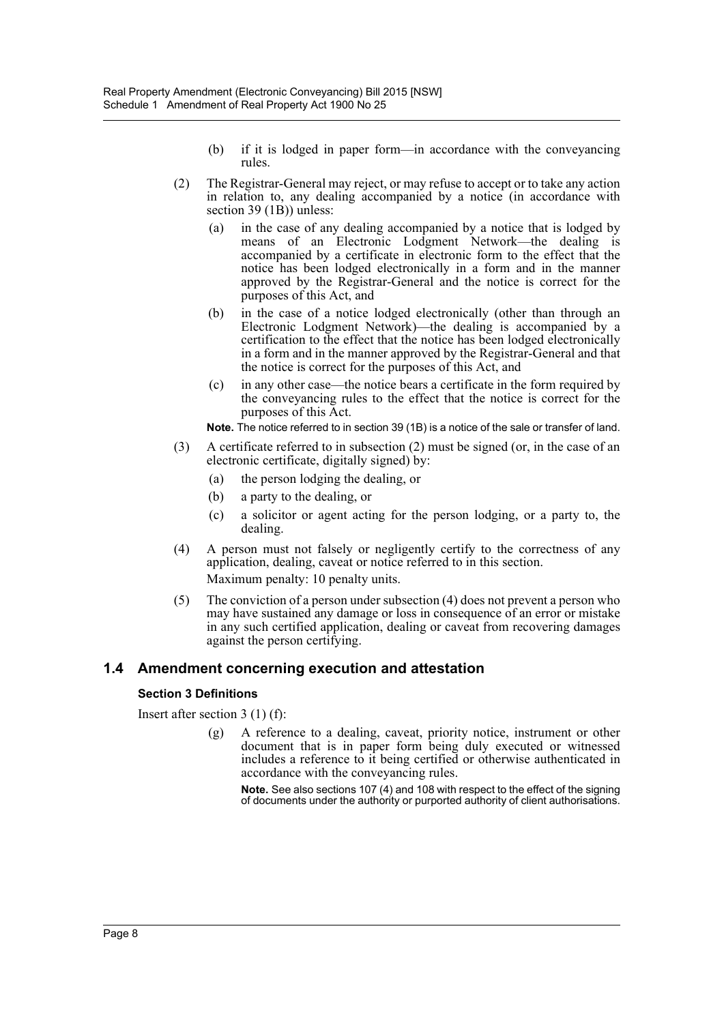- (b) if it is lodged in paper form—in accordance with the conveyancing rules.
- (2) The Registrar-General may reject, or may refuse to accept or to take any action in relation to, any dealing accompanied by a notice (in accordance with section 39 (1B)) unless:
	- (a) in the case of any dealing accompanied by a notice that is lodged by means of an Electronic Lodgment Network—the dealing is accompanied by a certificate in electronic form to the effect that the notice has been lodged electronically in a form and in the manner approved by the Registrar-General and the notice is correct for the purposes of this Act, and
	- (b) in the case of a notice lodged electronically (other than through an Electronic Lodgment Network)—the dealing is accompanied by a certification to the effect that the notice has been lodged electronically in a form and in the manner approved by the Registrar-General and that the notice is correct for the purposes of this Act, and
	- (c) in any other case—the notice bears a certificate in the form required by the conveyancing rules to the effect that the notice is correct for the purposes of this Act.

**Note.** The notice referred to in section 39 (1B) is a notice of the sale or transfer of land.

- (3) A certificate referred to in subsection (2) must be signed (or, in the case of an electronic certificate, digitally signed) by:
	- (a) the person lodging the dealing, or
	- (b) a party to the dealing, or
	- (c) a solicitor or agent acting for the person lodging, or a party to, the dealing.
- (4) A person must not falsely or negligently certify to the correctness of any application, dealing, caveat or notice referred to in this section. Maximum penalty: 10 penalty units.
- (5) The conviction of a person under subsection (4) does not prevent a person who may have sustained any damage or loss in consequence of an error or mistake in any such certified application, dealing or caveat from recovering damages against the person certifying.

## **1.4 Amendment concerning execution and attestation**

#### **Section 3 Definitions**

Insert after section 3 (1) (f):

(g) A reference to a dealing, caveat, priority notice, instrument or other document that is in paper form being duly executed or witnessed includes a reference to it being certified or otherwise authenticated in accordance with the conveyancing rules.

**Note.** See also sections 107 (4) and 108 with respect to the effect of the signing of documents under the authority or purported authority of client authorisations.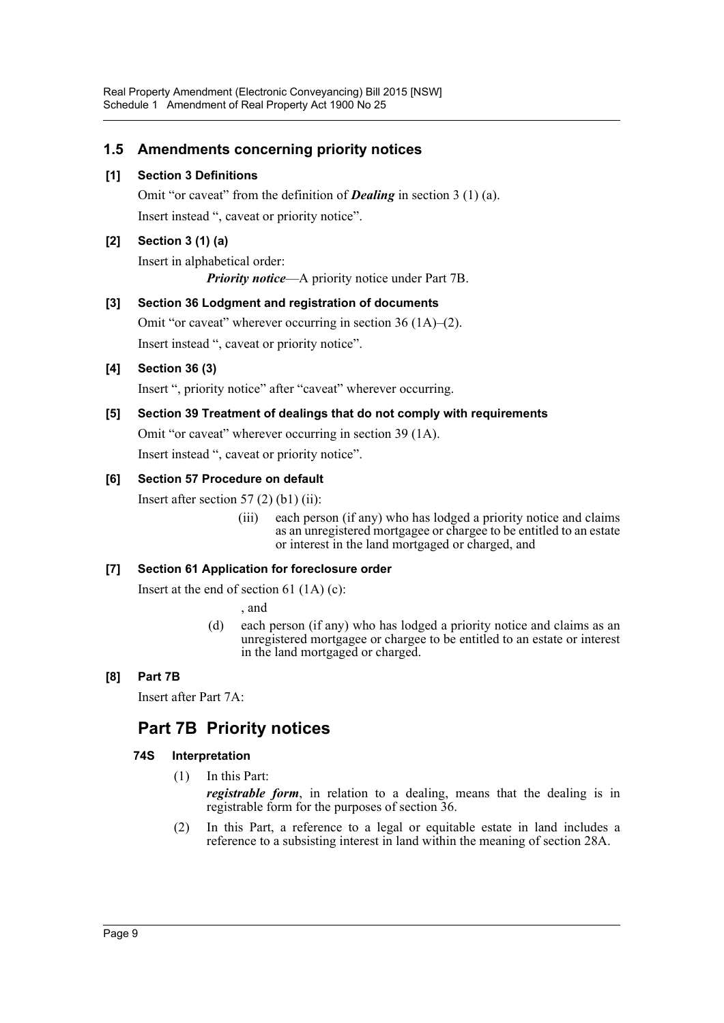## **1.5 Amendments concerning priority notices**

## **[1] Section 3 Definitions**

Omit "or caveat" from the definition of *Dealing* in section 3 (1) (a). Insert instead ", caveat or priority notice".

## **[2] Section 3 (1) (a)**

Insert in alphabetical order:

*Priority notice*—A priority notice under Part 7B.

## **[3] Section 36 Lodgment and registration of documents**

Omit "or caveat" wherever occurring in section 36 (1A)–(2). Insert instead ", caveat or priority notice".

## **[4] Section 36 (3)**

Insert ", priority notice" after "caveat" wherever occurring.

## **[5] Section 39 Treatment of dealings that do not comply with requirements**

Omit "or caveat" wherever occurring in section 39 (1A).

Insert instead ", caveat or priority notice".

## **[6] Section 57 Procedure on default**

Insert after section  $57(2)$  (b1) (ii):

(iii) each person (if any) who has lodged a priority notice and claims as an unregistered mortgagee or chargee to be entitled to an estate or interest in the land mortgaged or charged, and

## **[7] Section 61 Application for foreclosure order**

Insert at the end of section 61 (1A) (c):

, and

(d) each person (if any) who has lodged a priority notice and claims as an unregistered mortgagee or chargee to be entitled to an estate or interest in the land mortgaged or charged.

## **[8] Part 7B**

Insert after Part 7A:

## **Part 7B Priority notices**

## **74S Interpretation**

(1) In this Part:

*registrable form*, in relation to a dealing, means that the dealing is in registrable form for the purposes of section 36.

(2) In this Part, a reference to a legal or equitable estate in land includes a reference to a subsisting interest in land within the meaning of section 28A.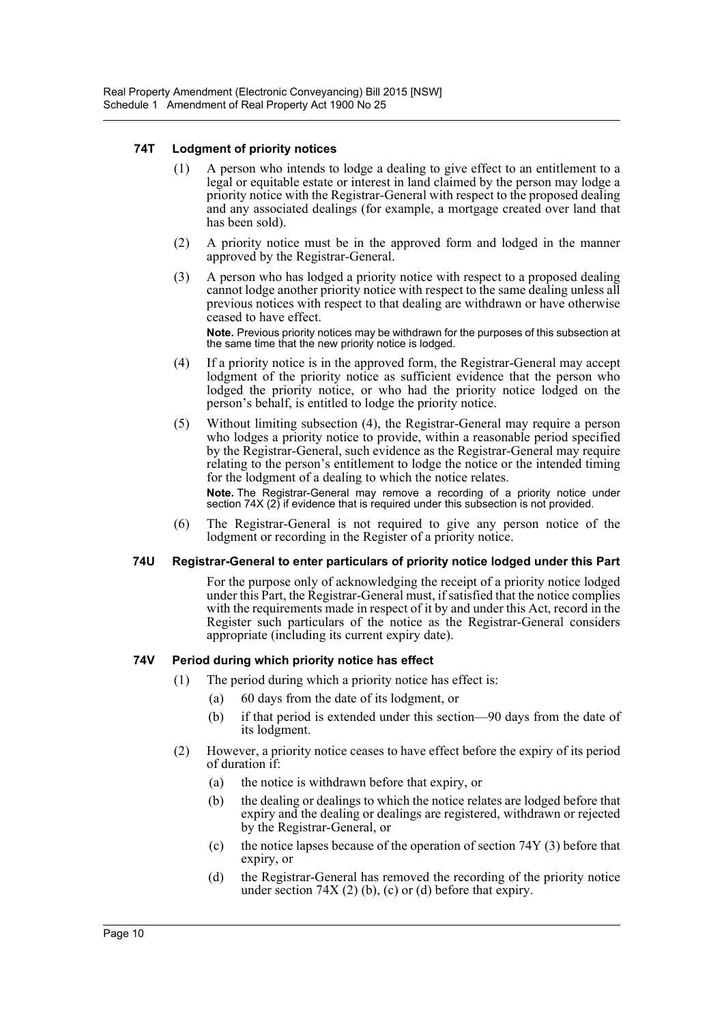#### **74T Lodgment of priority notices**

- (1) A person who intends to lodge a dealing to give effect to an entitlement to a legal or equitable estate or interest in land claimed by the person may lodge a priority notice with the Registrar-General with respect to the proposed dealing and any associated dealings (for example, a mortgage created over land that has been sold).
- (2) A priority notice must be in the approved form and lodged in the manner approved by the Registrar-General.
- (3) A person who has lodged a priority notice with respect to a proposed dealing cannot lodge another priority notice with respect to the same dealing unless all previous notices with respect to that dealing are withdrawn or have otherwise ceased to have effect.

**Note.** Previous priority notices may be withdrawn for the purposes of this subsection at the same time that the new priority notice is lodged.

- (4) If a priority notice is in the approved form, the Registrar-General may accept lodgment of the priority notice as sufficient evidence that the person who lodged the priority notice, or who had the priority notice lodged on the person's behalf, is entitled to lodge the priority notice.
- (5) Without limiting subsection (4), the Registrar-General may require a person who lodges a priority notice to provide, within a reasonable period specified by the Registrar-General, such evidence as the Registrar-General may require relating to the person's entitlement to lodge the notice or the intended timing for the lodgment of a dealing to which the notice relates.

**Note.** The Registrar-General may remove a recording of a priority notice under section 74X (2) if evidence that is required under this subsection is not provided.

(6) The Registrar-General is not required to give any person notice of the lodgment or recording in the Register of a priority notice.

#### **74U Registrar-General to enter particulars of priority notice lodged under this Part**

For the purpose only of acknowledging the receipt of a priority notice lodged under this Part, the Registrar-General must, if satisfied that the notice complies with the requirements made in respect of it by and under this Act, record in the Register such particulars of the notice as the Registrar-General considers appropriate (including its current expiry date).

#### **74V Period during which priority notice has effect**

- (1) The period during which a priority notice has effect is:
	- (a) 60 days from the date of its lodgment, or
	- (b) if that period is extended under this section—90 days from the date of its lodgment.
- (2) However, a priority notice ceases to have effect before the expiry of its period of duration if:
	- (a) the notice is withdrawn before that expiry, or
	- (b) the dealing or dealings to which the notice relates are lodged before that expiry and the dealing or dealings are registered, withdrawn or rejected by the Registrar-General, or
	- (c) the notice lapses because of the operation of section 74Y (3) before that expiry, or
	- (d) the Registrar-General has removed the recording of the priority notice under section  $74X(2)$  (b), (c) or (d) before that expiry.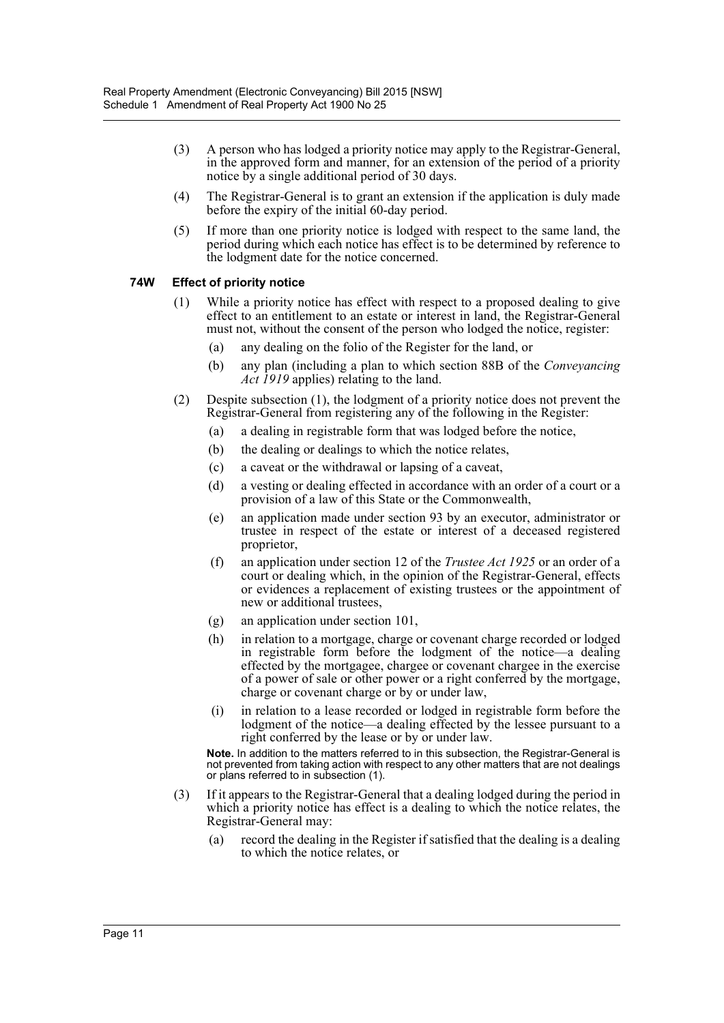- (3) A person who has lodged a priority notice may apply to the Registrar-General, in the approved form and manner, for an extension of the period of a priority notice by a single additional period of 30 days.
- (4) The Registrar-General is to grant an extension if the application is duly made before the expiry of the initial 60-day period.
- (5) If more than one priority notice is lodged with respect to the same land, the period during which each notice has effect is to be determined by reference to the lodgment date for the notice concerned.

#### **74W Effect of priority notice**

- (1) While a priority notice has effect with respect to a proposed dealing to give effect to an entitlement to an estate or interest in land, the Registrar-General must not, without the consent of the person who lodged the notice, register:
	- (a) any dealing on the folio of the Register for the land, or
	- (b) any plan (including a plan to which section 88B of the *Conveyancing Act 1919* applies) relating to the land.
- (2) Despite subsection (1), the lodgment of a priority notice does not prevent the Registrar-General from registering any of the following in the Register:
	- (a) a dealing in registrable form that was lodged before the notice,
	- (b) the dealing or dealings to which the notice relates,
	- (c) a caveat or the withdrawal or lapsing of a caveat,
	- (d) a vesting or dealing effected in accordance with an order of a court or a provision of a law of this State or the Commonwealth,
	- (e) an application made under section 93 by an executor, administrator or trustee in respect of the estate or interest of a deceased registered proprietor,
	- (f) an application under section 12 of the *Trustee Act 1925* or an order of a court or dealing which, in the opinion of the Registrar-General, effects or evidences a replacement of existing trustees or the appointment of new or additional trustees,
	- (g) an application under section 101,
	- (h) in relation to a mortgage, charge or covenant charge recorded or lodged in registrable form before the lodgment of the notice—a dealing effected by the mortgagee, chargee or covenant chargee in the exercise of a power of sale or other power or a right conferred by the mortgage, charge or covenant charge or by or under law,
	- (i) in relation to a lease recorded or lodged in registrable form before the lodgment of the notice—a dealing effected by the lessee pursuant to a right conferred by the lease or by or under law.

**Note.** In addition to the matters referred to in this subsection, the Registrar-General is not prevented from taking action with respect to any other matters that are not dealings or plans referred to in subsection (1).

- (3) If it appears to the Registrar-General that a dealing lodged during the period in which a priority notice has effect is a dealing to which the notice relates, the Registrar-General may:
	- (a) record the dealing in the Register if satisfied that the dealing is a dealing to which the notice relates, or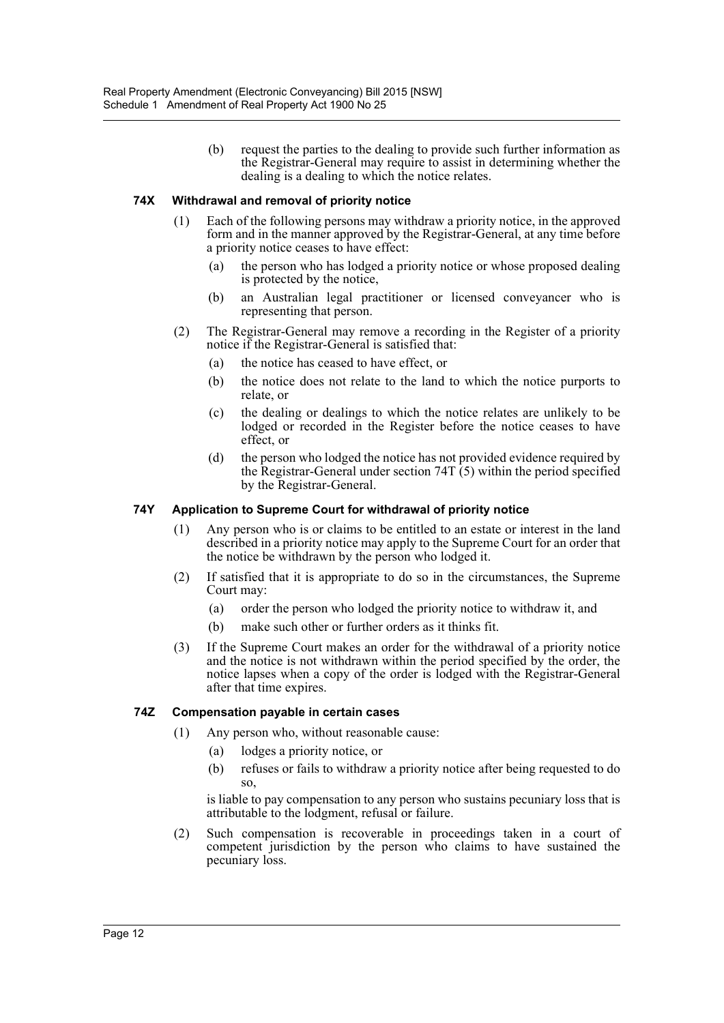(b) request the parties to the dealing to provide such further information as the Registrar-General may require to assist in determining whether the dealing is a dealing to which the notice relates.

#### **74X Withdrawal and removal of priority notice**

- (1) Each of the following persons may withdraw a priority notice, in the approved form and in the manner approved by the Registrar-General, at any time before a priority notice ceases to have effect:
	- (a) the person who has lodged a priority notice or whose proposed dealing is protected by the notice,
	- (b) an Australian legal practitioner or licensed conveyancer who is representing that person.
- (2) The Registrar-General may remove a recording in the Register of a priority notice if the Registrar-General is satisfied that:
	- (a) the notice has ceased to have effect, or
	- (b) the notice does not relate to the land to which the notice purports to relate, or
	- (c) the dealing or dealings to which the notice relates are unlikely to be lodged or recorded in the Register before the notice ceases to have effect, or
	- (d) the person who lodged the notice has not provided evidence required by the Registrar-General under section  $74T(5)$  within the period specified by the Registrar-General.

#### **74Y Application to Supreme Court for withdrawal of priority notice**

- (1) Any person who is or claims to be entitled to an estate or interest in the land described in a priority notice may apply to the Supreme Court for an order that the notice be withdrawn by the person who lodged it.
- (2) If satisfied that it is appropriate to do so in the circumstances, the Supreme Court may:
	- (a) order the person who lodged the priority notice to withdraw it, and
	- (b) make such other or further orders as it thinks fit.
- (3) If the Supreme Court makes an order for the withdrawal of a priority notice and the notice is not withdrawn within the period specified by the order, the notice lapses when a copy of the order is lodged with the Registrar-General after that time expires.

#### **74Z Compensation payable in certain cases**

- (1) Any person who, without reasonable cause:
	- (a) lodges a priority notice, or
	- (b) refuses or fails to withdraw a priority notice after being requested to do so,

is liable to pay compensation to any person who sustains pecuniary loss that is attributable to the lodgment, refusal or failure.

(2) Such compensation is recoverable in proceedings taken in a court of competent jurisdiction by the person who claims to have sustained the pecuniary loss.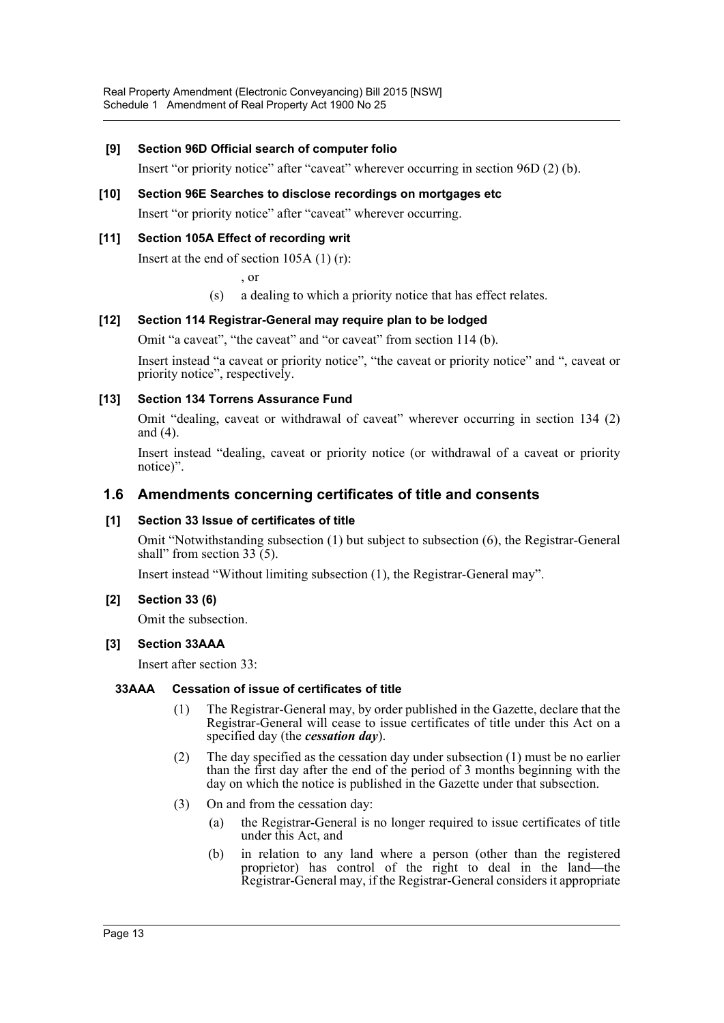## **[9] Section 96D Official search of computer folio**

Insert "or priority notice" after "caveat" wherever occurring in section 96D (2) (b).

## **[10] Section 96E Searches to disclose recordings on mortgages etc** Insert "or priority notice" after "caveat" wherever occurring.

## **[11] Section 105A Effect of recording writ**

Insert at the end of section 105A (1) (r):

, or

(s) a dealing to which a priority notice that has effect relates.

#### **[12] Section 114 Registrar-General may require plan to be lodged**

Omit "a caveat", "the caveat" and "or caveat" from section 114 (b).

Insert instead "a caveat or priority notice", "the caveat or priority notice" and ", caveat or priority notice", respectively.

#### **[13] Section 134 Torrens Assurance Fund**

Omit "dealing, caveat or withdrawal of caveat" wherever occurring in section 134 (2) and (4).

Insert instead "dealing, caveat or priority notice (or withdrawal of a caveat or priority notice)".

## **1.6 Amendments concerning certificates of title and consents**

#### **[1] Section 33 Issue of certificates of title**

Omit "Notwithstanding subsection (1) but subject to subsection (6), the Registrar-General shall" from section  $33(5)$ .

Insert instead "Without limiting subsection (1), the Registrar-General may".

#### **[2] Section 33 (6)**

Omit the subsection.

#### **[3] Section 33AAA**

Insert after section 33:

#### **33AAA Cessation of issue of certificates of title**

- (1) The Registrar-General may, by order published in the Gazette, declare that the Registrar-General will cease to issue certificates of title under this Act on a specified day (the *cessation day*).
- (2) The day specified as the cessation day under subsection (1) must be no earlier than the first day after the end of the period of 3 months beginning with the day on which the notice is published in the Gazette under that subsection.
- (3) On and from the cessation day:
	- (a) the Registrar-General is no longer required to issue certificates of title under this Act, and
	- (b) in relation to any land where a person (other than the registered proprietor) has control of the right to deal in the land—the Registrar-General may, if the Registrar-General considers it appropriate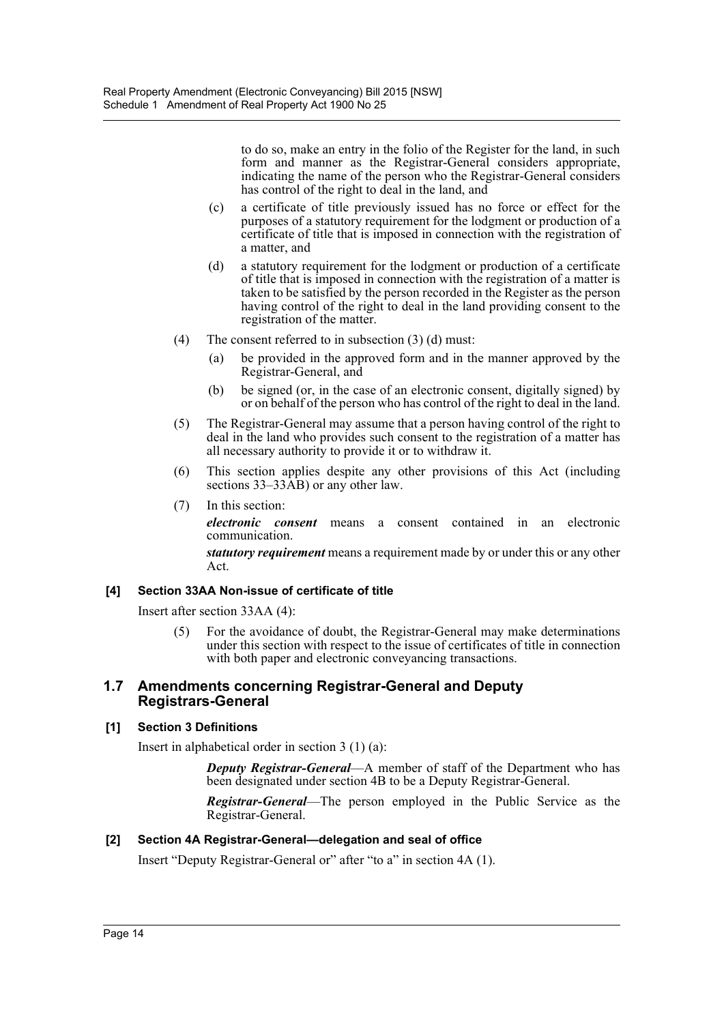to do so, make an entry in the folio of the Register for the land, in such form and manner as the Registrar-General considers appropriate, indicating the name of the person who the Registrar-General considers has control of the right to deal in the land, and

- (c) a certificate of title previously issued has no force or effect for the purposes of a statutory requirement for the lodgment or production of a certificate of title that is imposed in connection with the registration of a matter, and
- (d) a statutory requirement for the lodgment or production of a certificate of title that is imposed in connection with the registration of a matter is taken to be satisfied by the person recorded in the Register as the person having control of the right to deal in the land providing consent to the registration of the matter.
- (4) The consent referred to in subsection (3) (d) must:
	- (a) be provided in the approved form and in the manner approved by the Registrar-General, and
	- (b) be signed (or, in the case of an electronic consent, digitally signed) by or on behalf of the person who has control of the right to deal in the land.
- (5) The Registrar-General may assume that a person having control of the right to deal in the land who provides such consent to the registration of a matter has all necessary authority to provide it or to withdraw it.
- (6) This section applies despite any other provisions of this Act (including sections 33–33 $\hat{AB}$ ) or any other law.
- (7) In this section:

*electronic consent* means a consent contained in an electronic communication.

*statutory requirement* means a requirement made by or under this or any other Act.

#### **[4] Section 33AA Non-issue of certificate of title**

Insert after section 33AA (4):

(5) For the avoidance of doubt, the Registrar-General may make determinations under this section with respect to the issue of certificates of title in connection with both paper and electronic conveyancing transactions.

#### **1.7 Amendments concerning Registrar-General and Deputy Registrars-General**

#### **[1] Section 3 Definitions**

Insert in alphabetical order in section 3 (1) (a):

*Deputy Registrar-General*—A member of staff of the Department who has been designated under section 4B to be a Deputy Registrar-General.

*Registrar-General*—The person employed in the Public Service as the Registrar-General.

#### **[2] Section 4A Registrar-General—delegation and seal of office**

Insert "Deputy Registrar-General or" after "to a" in section 4A (1).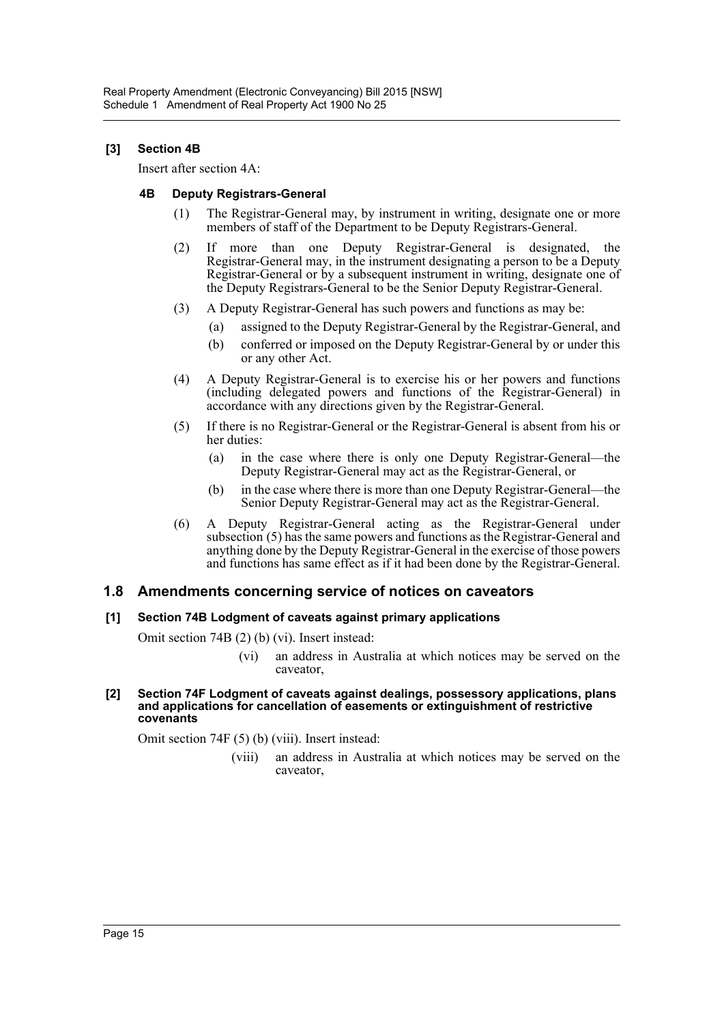#### **[3] Section 4B**

Insert after section 4A:

#### **4B Deputy Registrars-General**

- (1) The Registrar-General may, by instrument in writing, designate one or more members of staff of the Department to be Deputy Registrars-General.
- (2) If more than one Deputy Registrar-General is designated, the Registrar-General may, in the instrument designating a person to be a Deputy Registrar-General or by a subsequent instrument in writing, designate one of the Deputy Registrars-General to be the Senior Deputy Registrar-General.
- (3) A Deputy Registrar-General has such powers and functions as may be:
	- (a) assigned to the Deputy Registrar-General by the Registrar-General, and
	- (b) conferred or imposed on the Deputy Registrar-General by or under this or any other Act.
- (4) A Deputy Registrar-General is to exercise his or her powers and functions (including delegated powers and functions of the Registrar-General) in accordance with any directions given by the Registrar-General.
- (5) If there is no Registrar-General or the Registrar-General is absent from his or her duties:
	- (a) in the case where there is only one Deputy Registrar-General—the Deputy Registrar-General may act as the Registrar-General, or
	- (b) in the case where there is more than one Deputy Registrar-General—the Senior Deputy Registrar-General may act as the Registrar-General.
- (6) A Deputy Registrar-General acting as the Registrar-General under subsection (5) has the same powers and functions as the Registrar-General and anything done by the Deputy Registrar-General in the exercise of those powers and functions has same effect as if it had been done by the Registrar-General.

## **1.8 Amendments concerning service of notices on caveators**

#### **[1] Section 74B Lodgment of caveats against primary applications**

Omit section 74B (2) (b) (vi). Insert instead:

(vi) an address in Australia at which notices may be served on the caveator,

#### **[2] Section 74F Lodgment of caveats against dealings, possessory applications, plans and applications for cancellation of easements or extinguishment of restrictive covenants**

Omit section 74F (5) (b) (viii). Insert instead:

(viii) an address in Australia at which notices may be served on the caveator,